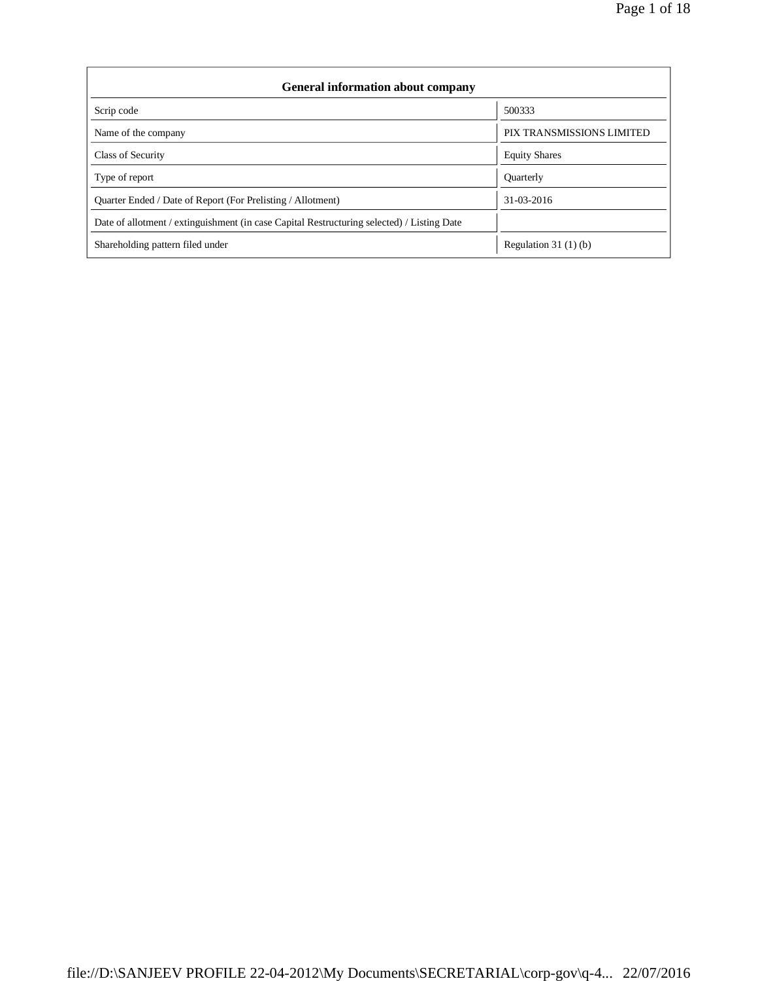| <b>General information about company</b>                                                   |                           |  |  |  |  |
|--------------------------------------------------------------------------------------------|---------------------------|--|--|--|--|
| Scrip code                                                                                 | 500333                    |  |  |  |  |
| Name of the company                                                                        | PIX TRANSMISSIONS LIMITED |  |  |  |  |
| Class of Security                                                                          | <b>Equity Shares</b>      |  |  |  |  |
| Type of report                                                                             | <b>Ouarterly</b>          |  |  |  |  |
| Quarter Ended / Date of Report (For Prelisting / Allotment)                                | 31-03-2016                |  |  |  |  |
| Date of allotment / extinguishment (in case Capital Restructuring selected) / Listing Date |                           |  |  |  |  |
| Shareholding pattern filed under                                                           | Regulation $31(1)(b)$     |  |  |  |  |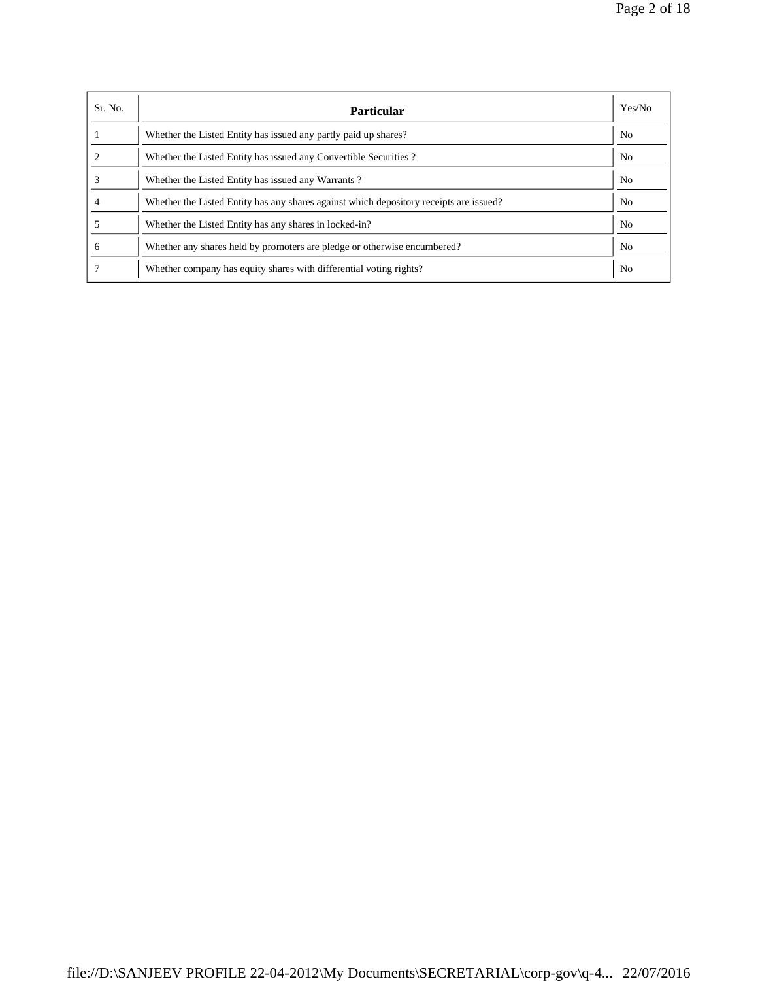| Sr. No. | <b>Particular</b>                                                                      | Yes/No         |
|---------|----------------------------------------------------------------------------------------|----------------|
|         | Whether the Listed Entity has issued any partly paid up shares?                        | N <sub>0</sub> |
|         | Whether the Listed Entity has issued any Convertible Securities?                       | N <sub>0</sub> |
|         | Whether the Listed Entity has issued any Warrants?                                     | N <sub>o</sub> |
|         | Whether the Listed Entity has any shares against which depository receipts are issued? | N <sub>o</sub> |
|         | Whether the Listed Entity has any shares in locked-in?                                 | N <sub>0</sub> |
| 6       | Whether any shares held by promoters are pledge or otherwise encumbered?               | N <sub>0</sub> |
|         | Whether company has equity shares with differential voting rights?                     | N <sub>0</sub> |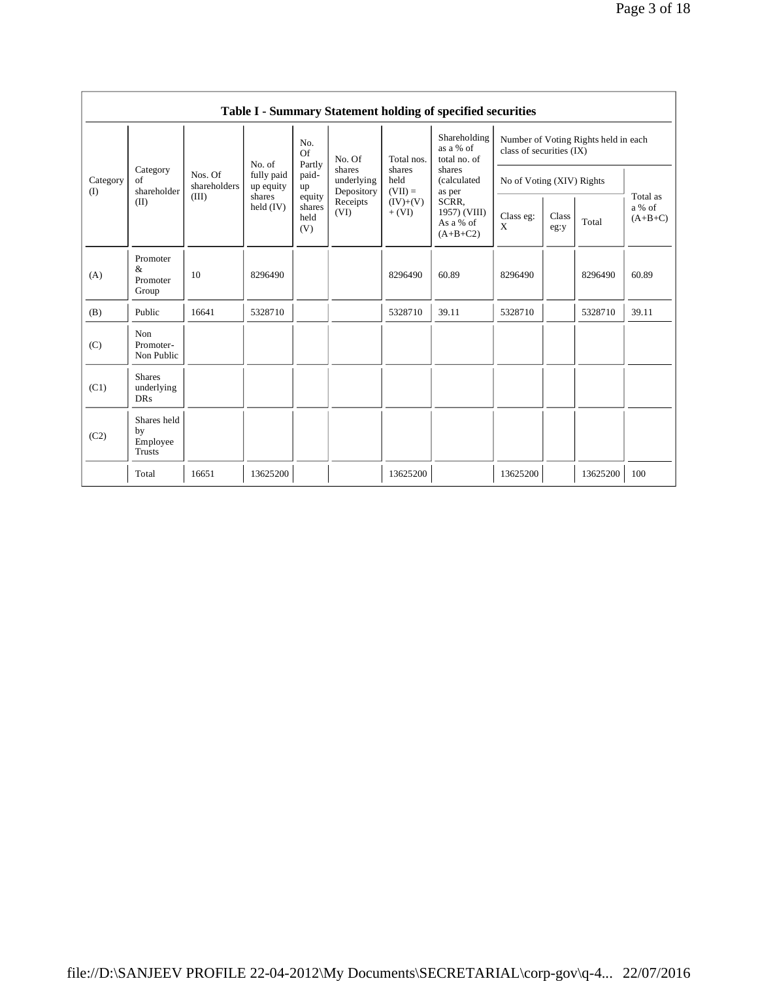|                 |                                                |                                                                                                   |                         |                                                  |                                    |                             | Table I - Summary Statement holding of specified securities |                                                                  |                           |          |       |  |
|-----------------|------------------------------------------------|---------------------------------------------------------------------------------------------------|-------------------------|--------------------------------------------------|------------------------------------|-----------------------------|-------------------------------------------------------------|------------------------------------------------------------------|---------------------------|----------|-------|--|
|                 |                                                |                                                                                                   | No. of                  | No.<br>Of<br>Partly                              | No. Of                             | Total nos.                  | Shareholding<br>as a % of<br>total no. of                   | Number of Voting Rights held in each<br>class of securities (IX) |                           |          |       |  |
| Category<br>(I) | Category<br>of<br>shareholder                  | Nos. Of<br>shareholders                                                                           | fully paid<br>up equity | paid-<br>up                                      | shares<br>underlying<br>Depository | shares<br>held<br>$(VII) =$ | shares<br>(calculated<br>as per                             |                                                                  | No of Voting (XIV) Rights |          |       |  |
|                 | (II)                                           | (III)<br>shares<br>equity<br>Receipts<br>held $(IV)$<br>shares<br>(VI)<br>$+$ (VI)<br>held<br>(V) | $(IV)+(V)$              | SCRR.<br>1957) (VIII)<br>As a % of<br>$(A+B+C2)$ | Class eg:<br>X                     | Class<br>eg:y               | Total                                                       | Total as<br>a % of<br>$(A+B+C)$                                  |                           |          |       |  |
| (A)             | Promoter<br>&<br>Promoter<br>Group             | 10                                                                                                | 8296490                 |                                                  |                                    | 8296490                     | 60.89                                                       | 8296490                                                          |                           | 8296490  | 60.89 |  |
| (B)             | Public                                         | 16641                                                                                             | 5328710                 |                                                  |                                    | 5328710                     | 39.11                                                       | 5328710                                                          |                           | 5328710  | 39.11 |  |
| (C)             | Non<br>Promoter-<br>Non Public                 |                                                                                                   |                         |                                                  |                                    |                             |                                                             |                                                                  |                           |          |       |  |
| (C1)            | <b>Shares</b><br>underlying<br><b>DRs</b>      |                                                                                                   |                         |                                                  |                                    |                             |                                                             |                                                                  |                           |          |       |  |
| (C2)            | Shares held<br>by<br>Employee<br><b>Trusts</b> |                                                                                                   |                         |                                                  |                                    |                             |                                                             |                                                                  |                           |          |       |  |
|                 | Total                                          | 16651                                                                                             | 13625200                |                                                  |                                    | 13625200                    |                                                             | 13625200                                                         |                           | 13625200 | 100   |  |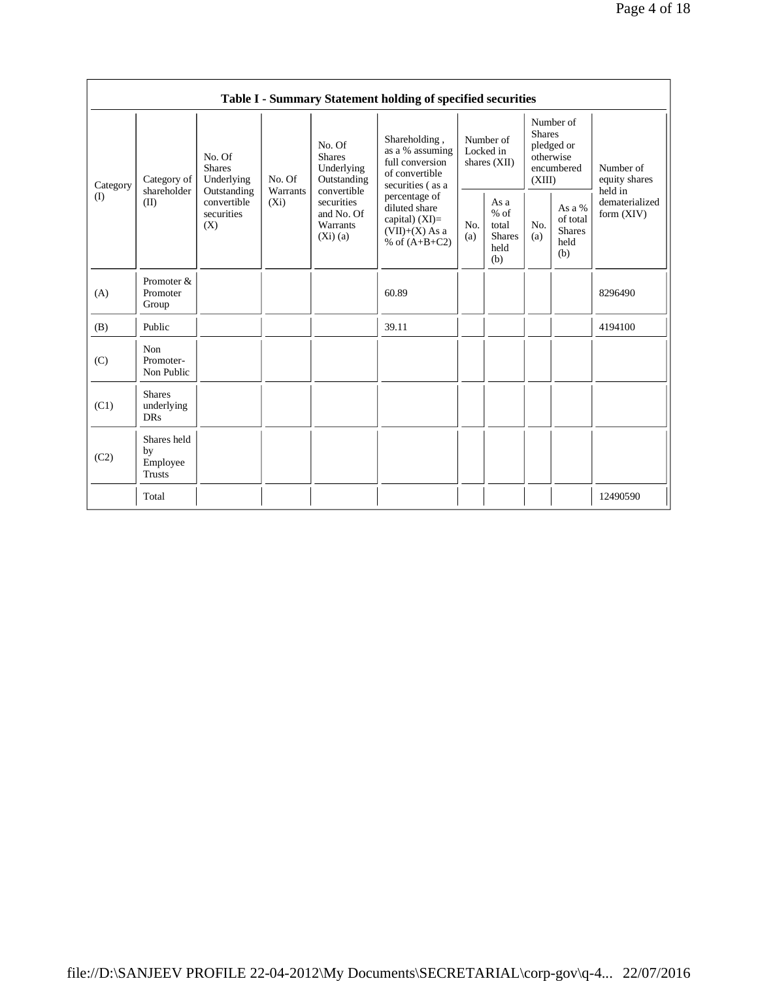|          |                                           |                                                 |                     |                                                                                                                            | Table I - Summary Statement holding of specified securities                                                                                                                             |                                          |                                                         |                                                                               |                                                    |                                       |
|----------|-------------------------------------------|-------------------------------------------------|---------------------|----------------------------------------------------------------------------------------------------------------------------|-----------------------------------------------------------------------------------------------------------------------------------------------------------------------------------------|------------------------------------------|---------------------------------------------------------|-------------------------------------------------------------------------------|----------------------------------------------------|---------------------------------------|
| Category | Category of                               | No. Of<br><b>Shares</b><br>Underlying           | No. Of              | No. Of<br><b>Shares</b><br>Underlying<br>Outstanding<br>convertible<br>securities<br>and No. Of<br>Warrants<br>$(X_i)$ (a) | Shareholding,<br>as a % assuming<br>full conversion<br>of convertible<br>securities (as a<br>percentage of<br>diluted share<br>capital) $(XI)$ =<br>$(VII)+(X)$ As a<br>% of $(A+B+C2)$ | Number of<br>Locked in<br>shares $(XII)$ |                                                         | Number of<br><b>Shares</b><br>pledged or<br>otherwise<br>encumbered<br>(XIII) |                                                    | Number of<br>equity shares<br>held in |
| (I)      | shareholder<br>(II)                       | Outstanding<br>convertible<br>securities<br>(X) | Warrants<br>$(X_i)$ |                                                                                                                            |                                                                                                                                                                                         | No.<br>(a)                               | As a<br>$%$ of<br>total<br><b>Shares</b><br>held<br>(b) | No.<br>(a)                                                                    | As a %<br>of total<br><b>Shares</b><br>held<br>(b) | dematerialized<br>form (XIV)          |
| (A)      | Promoter &<br>Promoter<br>Group           |                                                 |                     |                                                                                                                            | 60.89                                                                                                                                                                                   |                                          |                                                         |                                                                               |                                                    | 8296490                               |
| (B)      | Public                                    |                                                 |                     |                                                                                                                            | 39.11                                                                                                                                                                                   |                                          |                                                         |                                                                               |                                                    | 4194100                               |
| (C)      | Non<br>Promoter-<br>Non Public            |                                                 |                     |                                                                                                                            |                                                                                                                                                                                         |                                          |                                                         |                                                                               |                                                    |                                       |
| (C1)     | <b>Shares</b><br>underlying<br><b>DRs</b> |                                                 |                     |                                                                                                                            |                                                                                                                                                                                         |                                          |                                                         |                                                                               |                                                    |                                       |
| (C2)     | Shares held<br>by<br>Employee<br>Trusts   |                                                 |                     |                                                                                                                            |                                                                                                                                                                                         |                                          |                                                         |                                                                               |                                                    |                                       |
|          | Total                                     |                                                 |                     |                                                                                                                            |                                                                                                                                                                                         |                                          |                                                         |                                                                               |                                                    | 12490590                              |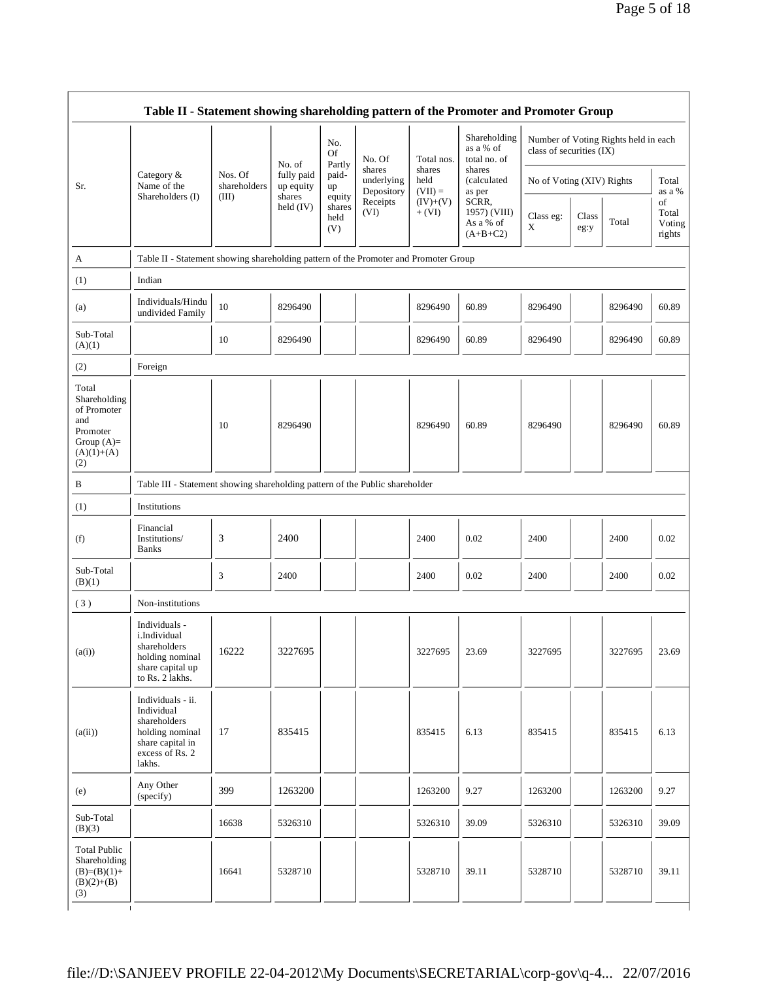|                                                                                                | Table II - Statement showing shareholding pattern of the Promoter and Promoter Group                                |                         |                         |                                 |                                    |                             |                                                  |                           |               |                                      |                                 |
|------------------------------------------------------------------------------------------------|---------------------------------------------------------------------------------------------------------------------|-------------------------|-------------------------|---------------------------------|------------------------------------|-----------------------------|--------------------------------------------------|---------------------------|---------------|--------------------------------------|---------------------------------|
|                                                                                                |                                                                                                                     |                         | No. of                  | No.<br><b>Of</b><br>Partly      | No. Of                             | Total nos.                  | Shareholding<br>as a % of<br>total no. of        | class of securities (IX)  |               | Number of Voting Rights held in each |                                 |
| Sr.                                                                                            | Category &<br>Name of the                                                                                           | Nos. Of<br>shareholders | fully paid<br>up equity | paid-<br>up                     | shares<br>underlying<br>Depository | shares<br>held<br>$(VII) =$ | shares<br>(calculated<br>as per                  | No of Voting (XIV) Rights |               |                                      | Total<br>as a %                 |
|                                                                                                | Shareholders (I)                                                                                                    | (III)                   | shares<br>held $(IV)$   | equity<br>shares<br>held<br>(V) | Receipts<br>(VI)                   | $(IV)+(V)$<br>$+ (VI)$      | SCRR,<br>1957) (VIII)<br>As a % of<br>$(A+B+C2)$ | Class eg:<br>X            | Class<br>eg:y | Total                                | of<br>Total<br>Voting<br>rights |
| A                                                                                              | Table II - Statement showing shareholding pattern of the Promoter and Promoter Group                                |                         |                         |                                 |                                    |                             |                                                  |                           |               |                                      |                                 |
| (1)                                                                                            | Indian                                                                                                              |                         |                         |                                 |                                    |                             |                                                  |                           |               |                                      |                                 |
| (a)                                                                                            | Individuals/Hindu<br>undivided Family                                                                               | 10                      | 8296490                 |                                 |                                    | 8296490                     | 60.89                                            | 8296490                   |               | 8296490                              | 60.89                           |
| Sub-Total<br>(A)(1)                                                                            |                                                                                                                     | 10                      | 8296490                 |                                 |                                    | 8296490                     | 60.89                                            | 8296490                   |               | 8296490                              | 60.89                           |
| (2)                                                                                            | Foreign                                                                                                             |                         |                         |                                 |                                    |                             |                                                  |                           |               |                                      |                                 |
| Total<br>Shareholding<br>of Promoter<br>and<br>Promoter<br>Group $(A)=$<br>$(A)(1)+(A)$<br>(2) |                                                                                                                     | 10                      | 8296490                 |                                 |                                    | 8296490                     | 60.89                                            | 8296490                   |               | 8296490                              | 60.89                           |
| B                                                                                              | Table III - Statement showing shareholding pattern of the Public shareholder                                        |                         |                         |                                 |                                    |                             |                                                  |                           |               |                                      |                                 |
| (1)                                                                                            | Institutions                                                                                                        |                         |                         |                                 |                                    |                             |                                                  |                           |               |                                      |                                 |
| (f)                                                                                            | Financial<br>Institutions/<br><b>Banks</b>                                                                          | 3                       | 2400                    |                                 |                                    | 2400                        | 0.02                                             | 2400                      |               | 2400                                 | 0.02                            |
| Sub-Total<br>(B)(1)                                                                            |                                                                                                                     | 3                       | 2400                    |                                 |                                    | 2400                        | 0.02                                             | 2400                      |               | 2400                                 | 0.02                            |
| (3)                                                                                            | Non-institutions                                                                                                    |                         |                         |                                 |                                    |                             |                                                  |                           |               |                                      |                                 |
| (a(i))                                                                                         | Individuals -<br>i.Individual<br>shareholders<br>holding nominal<br>share capital up<br>to Rs. 2 lakhs.             | 16222                   | 3227695                 |                                 |                                    | 3227695                     | 23.69                                            | 3227695                   |               | 3227695                              | 23.69                           |
| (a(ii))                                                                                        | Individuals - ii.<br>Individual<br>shareholders<br>holding nominal<br>share capital in<br>excess of Rs. 2<br>lakhs. | 17                      | 835415                  |                                 |                                    | 835415                      | 6.13                                             | 835415                    |               | 835415                               | 6.13                            |
| (e)                                                                                            | Any Other<br>(specify)                                                                                              | 399                     | 1263200                 |                                 |                                    | 1263200                     | 9.27                                             | 1263200                   |               | 1263200                              | 9.27                            |
| Sub-Total<br>(B)(3)                                                                            |                                                                                                                     | 16638                   | 5326310                 |                                 |                                    | 5326310                     | 39.09                                            | 5326310                   |               | 5326310                              | 39.09                           |
| <b>Total Public</b><br>Shareholding<br>$(B)=(B)(1)+$<br>$(B)(2)+(B)$<br>(3)<br>$\mathbf{I}$    |                                                                                                                     | 16641                   | 5328710                 |                                 |                                    | 5328710                     | 39.11                                            | 5328710                   |               | 5328710                              | 39.11                           |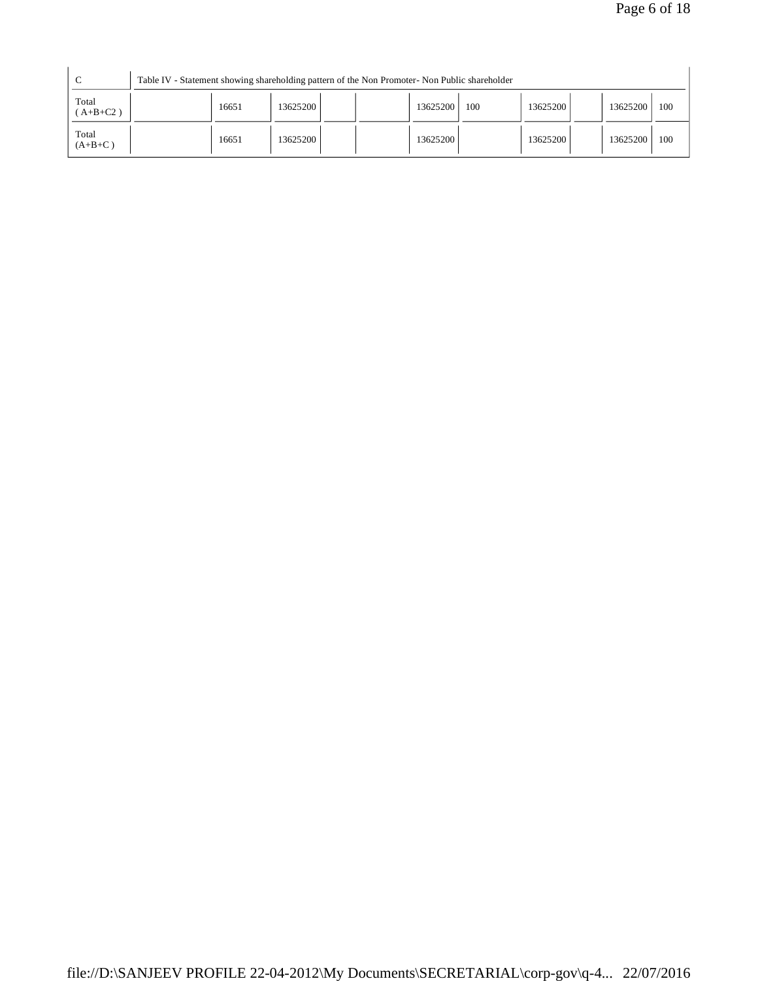| $\sqrt{ }$<br>◡     | Table IV - Statement showing shareholding pattern of the Non Promoter- Non Public shareholder |       |          |  |          |     |          |          |     |
|---------------------|-----------------------------------------------------------------------------------------------|-------|----------|--|----------|-----|----------|----------|-----|
| Total<br>$(A+B+C2)$ |                                                                                               | 16651 | 13625200 |  | 13625200 | 100 | 13625200 | 13625200 | 100 |
| Total<br>$(A+B+C)$  |                                                                                               | 16651 | 13625200 |  | 13625200 |     | 13625200 | 13625200 | 100 |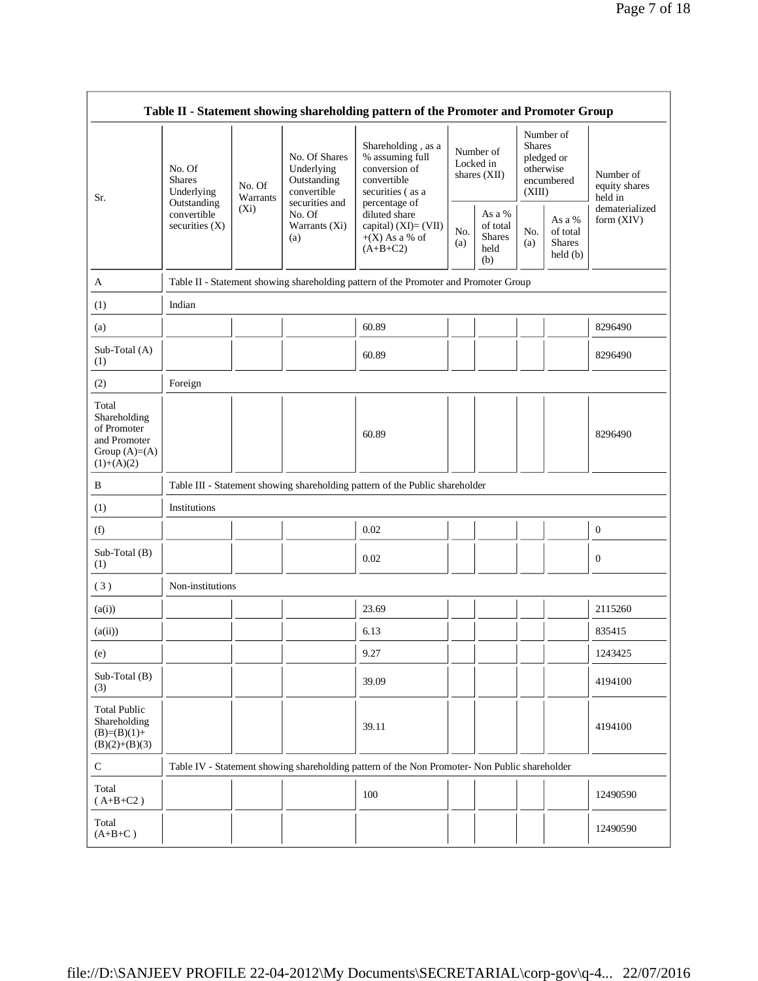|                                                                                         |                                                      |                    |                                                                             | Table II - Statement showing shareholding pattern of the Promoter and Promoter Group                       |                                          |                                                       |                                                                               |                                                |                                       |
|-----------------------------------------------------------------------------------------|------------------------------------------------------|--------------------|-----------------------------------------------------------------------------|------------------------------------------------------------------------------------------------------------|------------------------------------------|-------------------------------------------------------|-------------------------------------------------------------------------------|------------------------------------------------|---------------------------------------|
| Sr.                                                                                     | No. Of<br><b>Shares</b><br>Underlying<br>Outstanding | No. Of<br>Warrants | No. Of Shares<br>Underlying<br>Outstanding<br>convertible<br>securities and | Shareholding, as a<br>% assuming full<br>conversion of<br>convertible<br>securities (as a<br>percentage of | Number of<br>Locked in<br>shares $(XII)$ |                                                       | Number of<br><b>Shares</b><br>pledged or<br>otherwise<br>encumbered<br>(XIII) |                                                | Number of<br>equity shares<br>held in |
|                                                                                         | convertible<br>securities $(X)$                      | $(X_i)$            | No. Of<br>Warrants (Xi)<br>(a)                                              | diluted share<br>capital) $(XI) = (VII)$<br>$+(X)$ As a % of<br>$(A+B+C2)$                                 | No.<br>(a)                               | As a $\%$<br>of total<br><b>Shares</b><br>held<br>(b) | No.<br>(a)                                                                    | As a %<br>of total<br><b>Shares</b><br>held(b) | dematerialized<br>form $(XIV)$        |
| A                                                                                       |                                                      |                    |                                                                             | Table II - Statement showing shareholding pattern of the Promoter and Promoter Group                       |                                          |                                                       |                                                                               |                                                |                                       |
| (1)                                                                                     | Indian                                               |                    |                                                                             |                                                                                                            |                                          |                                                       |                                                                               |                                                |                                       |
| (a)                                                                                     |                                                      |                    |                                                                             | 60.89                                                                                                      |                                          |                                                       |                                                                               |                                                | 8296490                               |
| Sub-Total (A)<br>(1)                                                                    |                                                      |                    |                                                                             | 60.89                                                                                                      |                                          |                                                       |                                                                               |                                                | 8296490                               |
| (2)                                                                                     | Foreign                                              |                    |                                                                             |                                                                                                            |                                          |                                                       |                                                                               |                                                |                                       |
| Total<br>Shareholding<br>of Promoter<br>and Promoter<br>Group $(A)=(A)$<br>$(1)+(A)(2)$ |                                                      |                    |                                                                             | 60.89                                                                                                      |                                          |                                                       |                                                                               |                                                | 8296490                               |
| B                                                                                       |                                                      |                    |                                                                             | Table III - Statement showing shareholding pattern of the Public shareholder                               |                                          |                                                       |                                                                               |                                                |                                       |
| (1)                                                                                     | Institutions                                         |                    |                                                                             |                                                                                                            |                                          |                                                       |                                                                               |                                                |                                       |
| (f)                                                                                     |                                                      |                    |                                                                             | 0.02                                                                                                       |                                          |                                                       |                                                                               |                                                | $\boldsymbol{0}$                      |
| Sub-Total (B)<br>(1)                                                                    |                                                      |                    |                                                                             | 0.02                                                                                                       |                                          |                                                       |                                                                               |                                                | $\mathbf{0}$                          |
| $(\sqrt{3})$                                                                            | Non-institutions                                     |                    |                                                                             |                                                                                                            |                                          |                                                       |                                                                               |                                                |                                       |
| (a(i))                                                                                  |                                                      |                    |                                                                             | 23.69                                                                                                      |                                          |                                                       |                                                                               |                                                | 2115260                               |
| (a(ii))                                                                                 |                                                      |                    |                                                                             | 6.13                                                                                                       |                                          |                                                       |                                                                               |                                                | 835415                                |
| (e)                                                                                     |                                                      |                    |                                                                             | 9.27                                                                                                       |                                          |                                                       |                                                                               |                                                | 1243425                               |
| $Sub-Total(B)$<br>(3)                                                                   |                                                      |                    |                                                                             | 39.09                                                                                                      |                                          |                                                       |                                                                               |                                                | 4194100                               |
| <b>Total Public</b><br>Shareholding<br>$(B)=(B)(1)+$<br>$(B)(2)+(B)(3)$                 |                                                      |                    |                                                                             | 39.11                                                                                                      |                                          |                                                       |                                                                               |                                                | 4194100                               |
| $\mathbf C$                                                                             |                                                      |                    |                                                                             | Table IV - Statement showing shareholding pattern of the Non Promoter- Non Public shareholder              |                                          |                                                       |                                                                               |                                                |                                       |
| Total<br>$(A+B+C2)$                                                                     |                                                      |                    |                                                                             | 100                                                                                                        |                                          |                                                       |                                                                               |                                                | 12490590                              |
| Total<br>$(A+B+C)$                                                                      |                                                      |                    |                                                                             |                                                                                                            |                                          |                                                       |                                                                               |                                                | 12490590                              |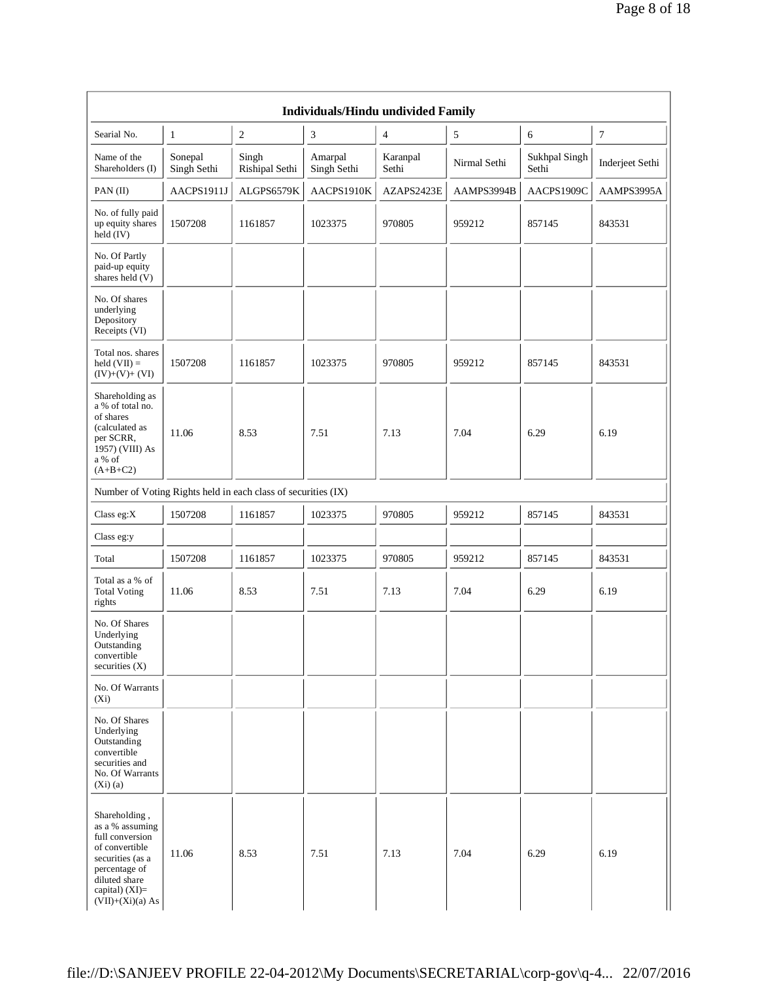|                                                                                                                                                                       |                        |                                                               | <b>Individuals/Hindu undivided Family</b> |                   |              |                        |                  |
|-----------------------------------------------------------------------------------------------------------------------------------------------------------------------|------------------------|---------------------------------------------------------------|-------------------------------------------|-------------------|--------------|------------------------|------------------|
| Searial No.                                                                                                                                                           | $\mathbf{1}$           | $\sqrt{2}$                                                    | $\mathfrak{Z}$                            | $\overline{4}$    | 5            | 6                      | $\boldsymbol{7}$ |
| Name of the<br>Shareholders (I)                                                                                                                                       | Sonepal<br>Singh Sethi | Singh<br>Rishipal Sethi                                       | Amarpal<br>Singh Sethi                    | Karanpal<br>Sethi | Nirmal Sethi | Sukhpal Singh<br>Sethi | Inderjeet Sethi  |
| PAN (II)                                                                                                                                                              | AACPS1911J             | ALGPS6579K                                                    | AACPS1910K                                | AZAPS2423E        | AAMPS3994B   | AACPS1909C             | AAMPS3995A       |
| No. of fully paid<br>up equity shares<br>held (IV)                                                                                                                    | 1507208                | 1161857                                                       | 1023375                                   | 970805            | 959212       | 857145                 | 843531           |
| No. Of Partly<br>paid-up equity<br>shares held $(V)$                                                                                                                  |                        |                                                               |                                           |                   |              |                        |                  |
| No. Of shares<br>underlying<br>Depository<br>Receipts (VI)                                                                                                            |                        |                                                               |                                           |                   |              |                        |                  |
| Total nos. shares<br>held $(VII) =$<br>$(IV)+(V)+(VI)$                                                                                                                | 1507208                | 1161857                                                       | 1023375                                   | 970805            | 959212       | 857145                 | 843531           |
| Shareholding as<br>a % of total no.<br>of shares<br>(calculated as<br>per SCRR,<br>1957) (VIII) As<br>a % of<br>$(A+B+C2)$                                            | 11.06                  | 8.53                                                          | 7.51                                      | 7.13              | 7.04         | 6.29                   | 6.19             |
|                                                                                                                                                                       |                        | Number of Voting Rights held in each class of securities (IX) |                                           |                   |              |                        |                  |
| Class $eg:X$                                                                                                                                                          | 1507208                | 1161857                                                       | 1023375                                   | 970805            | 959212       | 857145                 | 843531           |
| Class eg:y                                                                                                                                                            |                        |                                                               |                                           |                   |              |                        |                  |
| Total                                                                                                                                                                 | 1507208                | 1161857                                                       | 1023375                                   | 970805            | 959212       | 857145                 | 843531           |
| Total as a % of<br><b>Total Voting</b><br>rights                                                                                                                      | 11.06                  | 8.53                                                          | 7.51                                      | 7.13              | 7.04         | 6.29                   | 6.19             |
| No. Of Shares<br>Underlying<br>Outstanding<br>convertible<br>securities $(X)$                                                                                         |                        |                                                               |                                           |                   |              |                        |                  |
| No. Of Warrants<br>$(X_i)$                                                                                                                                            |                        |                                                               |                                           |                   |              |                        |                  |
| No. Of Shares<br>Underlying<br>Outstanding<br>convertible<br>securities and<br>No. Of Warrants<br>(Xi)(a)                                                             |                        |                                                               |                                           |                   |              |                        |                  |
| Shareholding,<br>as a % assuming<br>full conversion<br>of convertible<br>securities (as a<br>percentage of<br>diluted share<br>capital) $(XI)=$<br>$(VII)+(Xi)(a) As$ | 11.06                  | 8.53                                                          | 7.51                                      | 7.13              | 7.04         | 6.29                   | 6.19             |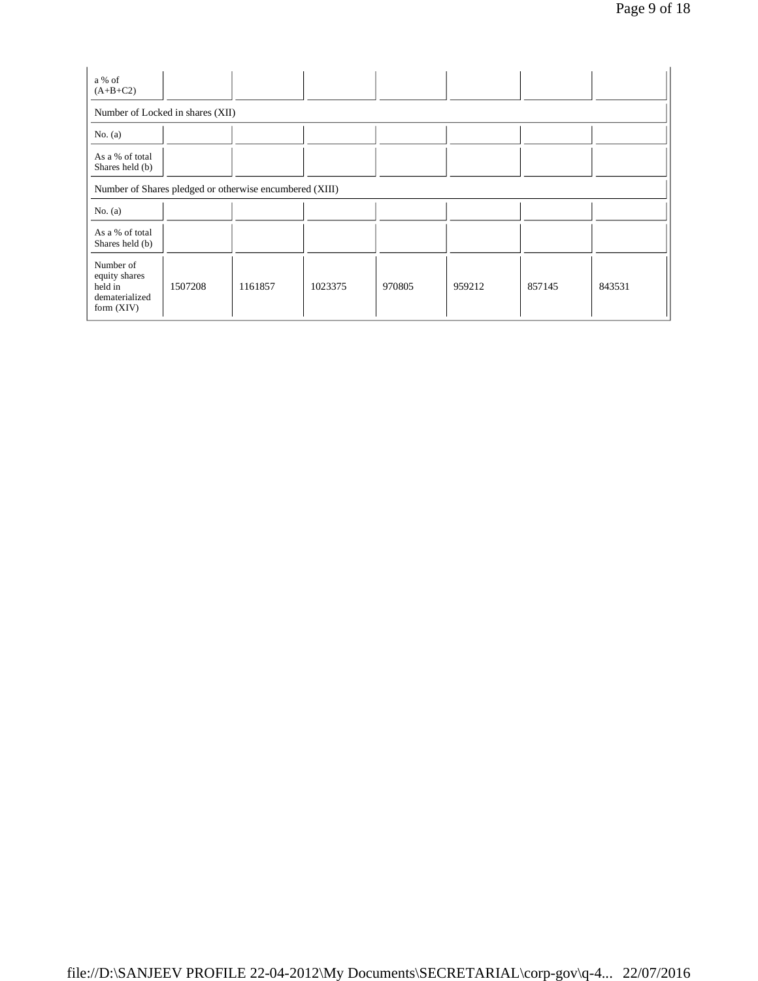| a % of<br>$(A+B+C2)$                                                    |         |                                                         |         |        |        |        |        |
|-------------------------------------------------------------------------|---------|---------------------------------------------------------|---------|--------|--------|--------|--------|
| Number of Locked in shares (XII)                                        |         |                                                         |         |        |        |        |        |
| No. $(a)$                                                               |         |                                                         |         |        |        |        |        |
| As a % of total<br>Shares held (b)                                      |         |                                                         |         |        |        |        |        |
|                                                                         |         | Number of Shares pledged or otherwise encumbered (XIII) |         |        |        |        |        |
| No. $(a)$                                                               |         |                                                         |         |        |        |        |        |
| As a % of total<br>Shares held (b)                                      |         |                                                         |         |        |        |        |        |
| Number of<br>equity shares<br>held in<br>dematerialized<br>form $(XIV)$ | 1507208 | 1161857                                                 | 1023375 | 970805 | 959212 | 857145 | 843531 |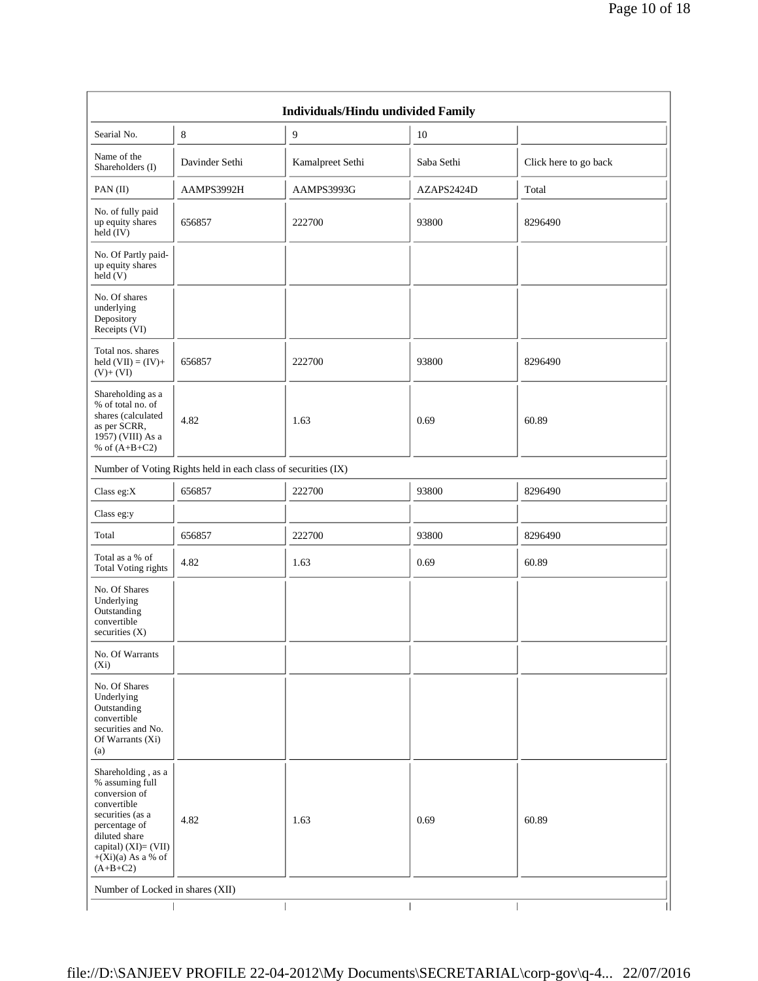|                                                                                                                                                                                           |                                                               | Individuals/Hindu undivided Family |            |                       |
|-------------------------------------------------------------------------------------------------------------------------------------------------------------------------------------------|---------------------------------------------------------------|------------------------------------|------------|-----------------------|
| Searial No.                                                                                                                                                                               | $\,8\,$                                                       | 9                                  | 10         |                       |
| Name of the<br>Shareholders (I)                                                                                                                                                           | Davinder Sethi                                                | Kamalpreet Sethi                   | Saba Sethi | Click here to go back |
| PAN (II)                                                                                                                                                                                  | AAMPS3992H                                                    | AAMPS3993G                         | AZAPS2424D | Total                 |
| No. of fully paid<br>up equity shares<br>held (IV)                                                                                                                                        | 656857                                                        | 222700                             | 93800      | 8296490               |
| No. Of Partly paid-<br>up equity shares<br>$\text{held}(V)$                                                                                                                               |                                                               |                                    |            |                       |
| No. Of shares<br>underlying<br>Depository<br>Receipts (VI)                                                                                                                                |                                                               |                                    |            |                       |
| Total nos. shares<br>held $(VII) = (IV) +$<br>$(V)+(VI)$                                                                                                                                  | 656857                                                        | 222700                             | 93800      | 8296490               |
| Shareholding as a<br>% of total no. of<br>shares (calculated<br>as per SCRR,<br>1957) (VIII) As a<br>% of $(A+B+C2)$                                                                      | 4.82                                                          | 1.63                               | 0.69       | 60.89                 |
|                                                                                                                                                                                           | Number of Voting Rights held in each class of securities (IX) |                                    |            |                       |
| Class eg:X                                                                                                                                                                                | 656857                                                        | 222700                             | 93800      | 8296490               |
| Class eg:y                                                                                                                                                                                |                                                               |                                    |            |                       |
| Total                                                                                                                                                                                     | 656857                                                        | 222700                             | 93800      | 8296490               |
| Total as a % of<br><b>Total Voting rights</b>                                                                                                                                             | 4.82                                                          | 1.63                               | 0.69       | 60.89                 |
| No. Of Shares<br>Underlying<br>Outstanding<br>convertible<br>securities $(X)$                                                                                                             |                                                               |                                    |            |                       |
| No. Of Warrants<br>$(X_i)$                                                                                                                                                                |                                                               |                                    |            |                       |
| No. Of Shares<br>Underlying<br>Outstanding<br>convertible<br>securities and No.<br>Of Warrants (Xi)<br>(a)                                                                                |                                                               |                                    |            |                       |
| Shareholding, as a<br>% assuming full<br>conversion of<br>convertible<br>securities (as a<br>percentage of<br>diluted share<br>capital) (XI)= (VII)<br>$+(Xi)(a)$ As a % of<br>$(A+B+C2)$ | 4.82                                                          | 1.63                               | 0.69       | 60.89                 |
| Number of Locked in shares (XII)                                                                                                                                                          |                                                               |                                    |            |                       |
|                                                                                                                                                                                           |                                                               |                                    |            |                       |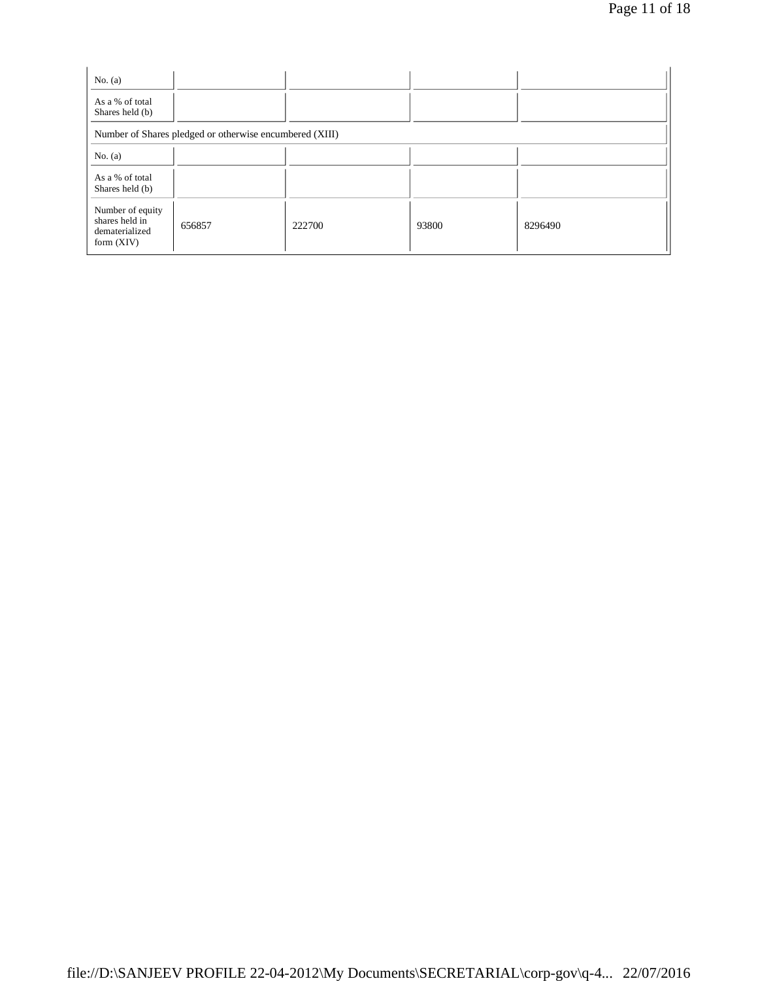| No. $(a)$                                                            |                                                         |        |       |         |
|----------------------------------------------------------------------|---------------------------------------------------------|--------|-------|---------|
| As a % of total<br>Shares held (b)                                   |                                                         |        |       |         |
|                                                                      | Number of Shares pledged or otherwise encumbered (XIII) |        |       |         |
| No. $(a)$                                                            |                                                         |        |       |         |
| As a % of total<br>Shares held (b)                                   |                                                         |        |       |         |
| Number of equity<br>shares held in<br>dematerialized<br>form $(XIV)$ | 656857                                                  | 222700 | 93800 | 8296490 |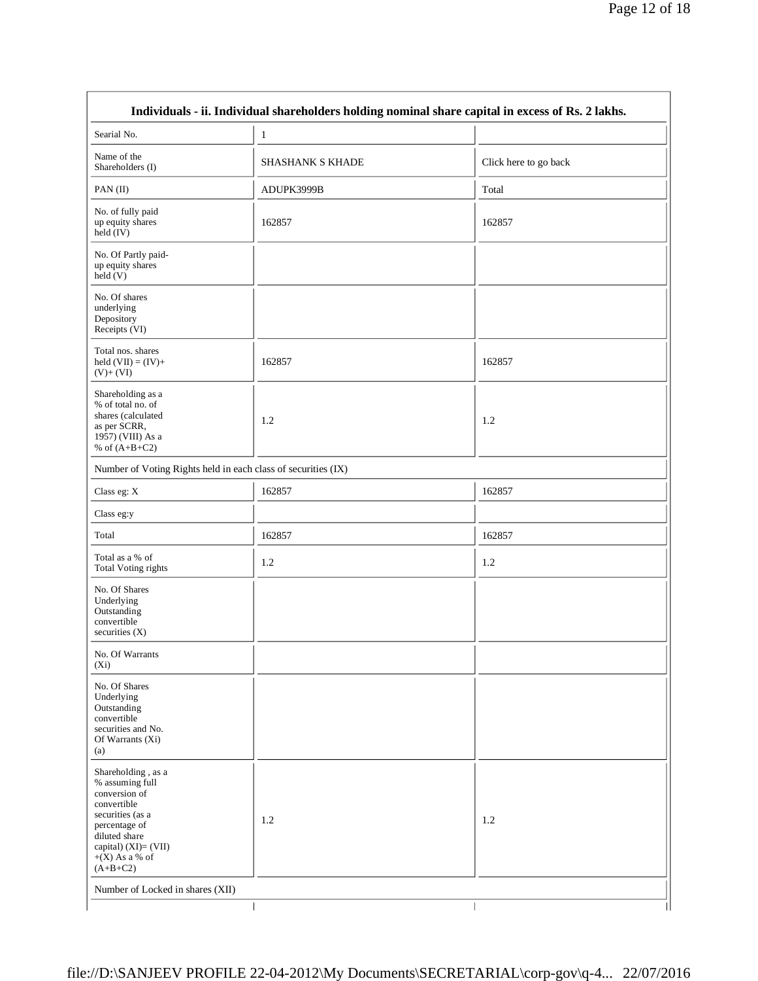| Searial No.                                                                                                                                                                           | $\mathbf{1}$                                                  |                       |
|---------------------------------------------------------------------------------------------------------------------------------------------------------------------------------------|---------------------------------------------------------------|-----------------------|
| Name of the<br>Shareholders (I)                                                                                                                                                       | SHASHANK S KHADE                                              | Click here to go back |
| PAN(II)                                                                                                                                                                               | ADUPK3999B                                                    | Total                 |
| No. of fully paid<br>up equity shares<br>held (IV)                                                                                                                                    | 162857                                                        | 162857                |
| No. Of Partly paid-<br>up equity shares<br>held(V)                                                                                                                                    |                                                               |                       |
| No. Of shares<br>underlying<br>Depository<br>Receipts (VI)                                                                                                                            |                                                               |                       |
| Total nos. shares<br>held $(VII) = (IV) +$<br>$(V)+(VI)$                                                                                                                              | 162857                                                        | 162857                |
| Shareholding as a<br>% of total no. of<br>shares (calculated<br>as per SCRR,<br>1957) (VIII) As a<br>% of $(A+B+C2)$                                                                  | 1.2                                                           | 1.2                   |
|                                                                                                                                                                                       | Number of Voting Rights held in each class of securities (IX) |                       |
| Class eg: X                                                                                                                                                                           | 162857                                                        | 162857                |
| Class eg:y                                                                                                                                                                            |                                                               |                       |
| Total                                                                                                                                                                                 | 162857                                                        | 162857                |
| Total as a % of<br><b>Total Voting rights</b>                                                                                                                                         | 1.2                                                           | 1.2                   |
| No. Of Shares<br>Underlying<br>Outstanding<br>convertible<br>securities (X)                                                                                                           |                                                               |                       |
| No. Of Warrants<br>$(X_i)$                                                                                                                                                            |                                                               |                       |
| No. Of Shares<br>Underlying<br>Outstanding<br>convertible<br>securities and No.<br>Of Warrants (Xi)<br>(a)                                                                            |                                                               |                       |
| Shareholding, as a<br>% assuming full<br>conversion of<br>convertible<br>securities (as a<br>percentage of<br>diluted share<br>capital) (XI)= (VII)<br>$+(X)$ As a % of<br>$(A+B+C2)$ | 1.2                                                           | 1.2                   |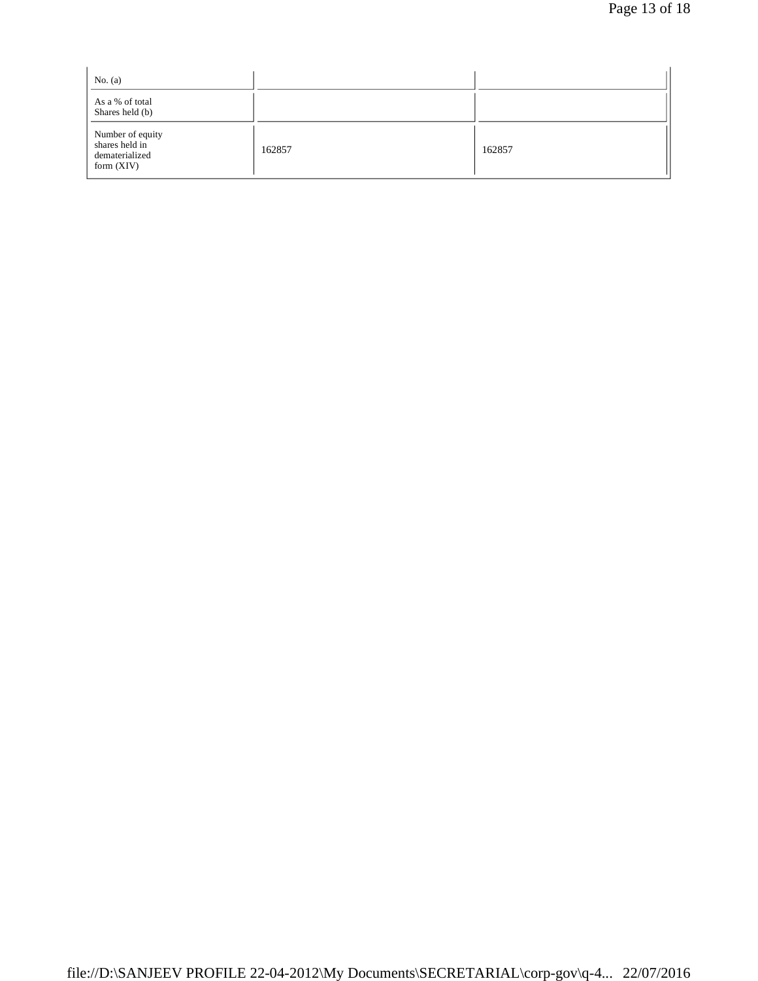| No. $(a)$                                                            |        |        |  |
|----------------------------------------------------------------------|--------|--------|--|
| As a % of total<br>Shares held (b)                                   |        |        |  |
| Number of equity<br>shares held in<br>dematerialized<br>form $(XIV)$ | 162857 | 162857 |  |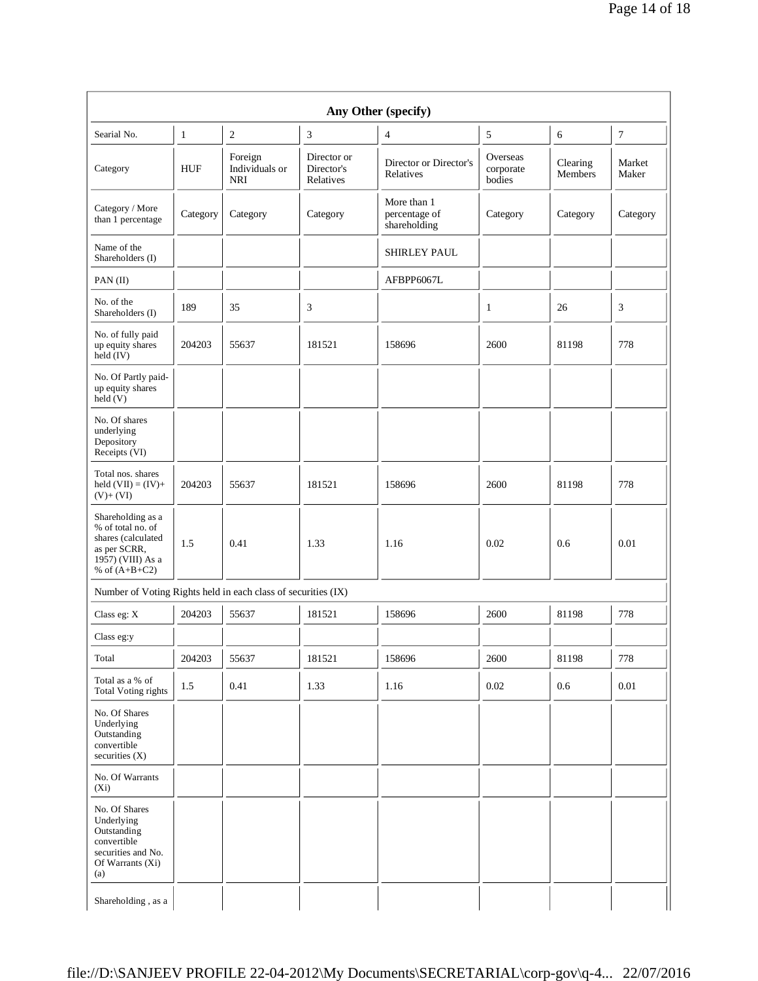| Any Other (specify)                                                                                                  |              |                                         |                                        |                                              |                                 |                     |                 |
|----------------------------------------------------------------------------------------------------------------------|--------------|-----------------------------------------|----------------------------------------|----------------------------------------------|---------------------------------|---------------------|-----------------|
| Searial No.                                                                                                          | $\mathbf{1}$ | $\mathbf{2}$                            | 3                                      | $\overline{4}$                               | $\sqrt{5}$                      | 6                   | $\overline{7}$  |
| Category                                                                                                             | <b>HUF</b>   | Foreign<br>Individuals or<br><b>NRI</b> | Director or<br>Director's<br>Relatives | Director or Director's<br>Relatives          | Overseas<br>corporate<br>bodies | Clearing<br>Members | Market<br>Maker |
| Category / More<br>than 1 percentage                                                                                 | Category     | Category                                | Category                               | More than 1<br>percentage of<br>shareholding | Category                        | Category            | Category        |
| Name of the<br>Shareholders (I)                                                                                      |              |                                         |                                        | SHIRLEY PAUL                                 |                                 |                     |                 |
| PAN(II)                                                                                                              |              |                                         |                                        | AFBPP6067L                                   |                                 |                     |                 |
| No. of the<br>Shareholders (I)                                                                                       | 189          | 35                                      | 3                                      |                                              | 1                               | 26                  | 3               |
| No. of fully paid<br>up equity shares<br>held (IV)                                                                   | 204203       | 55637                                   | 181521                                 | 158696                                       | 2600                            | 81198               | 778             |
| No. Of Partly paid-<br>up equity shares<br>held(V)                                                                   |              |                                         |                                        |                                              |                                 |                     |                 |
| No. Of shares<br>underlying<br>Depository<br>Receipts (VI)                                                           |              |                                         |                                        |                                              |                                 |                     |                 |
| Total nos. shares<br>held $(VII) = (IV) +$<br>$(V)+(VI)$                                                             | 204203       | 55637                                   | 181521                                 | 158696                                       | 2600                            | 81198               | 778             |
| Shareholding as a<br>% of total no. of<br>shares (calculated<br>as per SCRR,<br>1957) (VIII) As a<br>% of $(A+B+C2)$ | 1.5          | 0.41                                    | 1.33                                   | 1.16                                         | 0.02                            | 0.6                 | 0.01            |
| Number of Voting Rights held in each class of securities (IX)                                                        |              |                                         |                                        |                                              |                                 |                     |                 |
| Class eg: X                                                                                                          | 204203       | 55637                                   | 181521                                 | 158696                                       | 2600                            | 81198               | 778             |
| Class eg:y                                                                                                           |              |                                         |                                        |                                              |                                 |                     |                 |
| Total                                                                                                                | 204203       | 55637                                   | 181521                                 | 158696                                       | 2600                            | 81198               | 778             |
| Total as a % of<br><b>Total Voting rights</b>                                                                        | 1.5          | 0.41                                    | 1.33                                   | 1.16                                         | 0.02                            | 0.6                 | 0.01            |
| No. Of Shares<br>Underlying<br>Outstanding<br>convertible<br>securities (X)                                          |              |                                         |                                        |                                              |                                 |                     |                 |
| No. Of Warrants<br>$(X_i)$                                                                                           |              |                                         |                                        |                                              |                                 |                     |                 |
| No. Of Shares<br>Underlying<br>Outstanding<br>convertible<br>securities and No.<br>Of Warrants (Xi)<br>(a)           |              |                                         |                                        |                                              |                                 |                     |                 |
| Shareholding, as a                                                                                                   |              |                                         |                                        |                                              |                                 |                     |                 |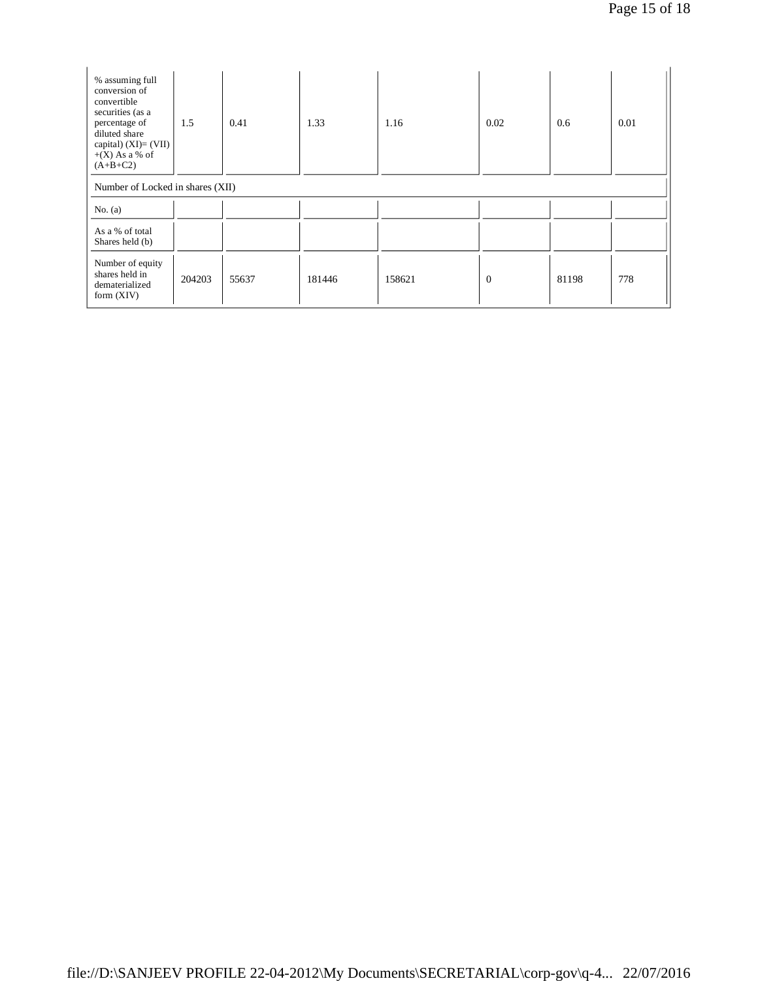| % assuming full<br>conversion of<br>convertible<br>securities (as a<br>percentage of<br>diluted share<br>capital) $(XI) = (VII)$<br>$+(X)$ As a % of<br>$(A+B+C2)$ | 1.5                              | 0.41  | 1.33   | 1.16   | 0.02           | 0.6   | 0.01 |  |
|--------------------------------------------------------------------------------------------------------------------------------------------------------------------|----------------------------------|-------|--------|--------|----------------|-------|------|--|
| No. $(a)$                                                                                                                                                          | Number of Locked in shares (XII) |       |        |        |                |       |      |  |
| As a % of total<br>Shares held (b)                                                                                                                                 |                                  |       |        |        |                |       |      |  |
| Number of equity<br>shares held in<br>dematerialized<br>form $(XIV)$                                                                                               | 204203                           | 55637 | 181446 | 158621 | $\overline{0}$ | 81198 | 778  |  |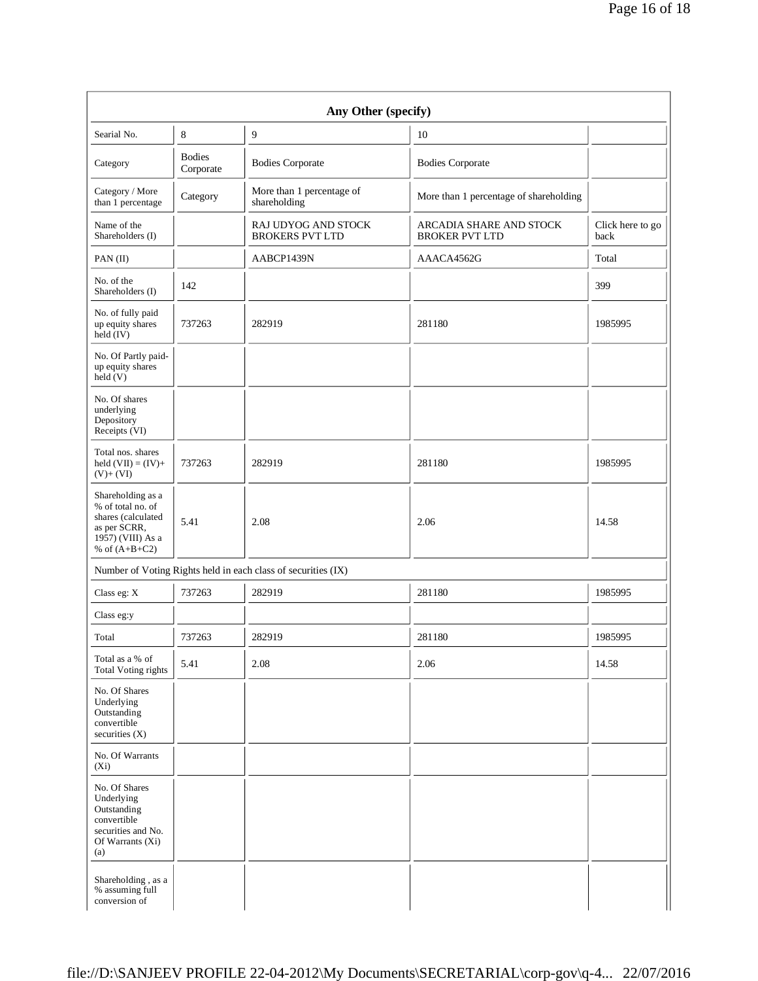| Any Other (specify)                                                                                                  |                            |                                                               |                                                  |                          |  |  |
|----------------------------------------------------------------------------------------------------------------------|----------------------------|---------------------------------------------------------------|--------------------------------------------------|--------------------------|--|--|
| Searial No.                                                                                                          | 8                          | 9<br>10                                                       |                                                  |                          |  |  |
| Category                                                                                                             | <b>Bodies</b><br>Corporate | <b>Bodies Corporate</b><br><b>Bodies Corporate</b>            |                                                  |                          |  |  |
| Category / More<br>than 1 percentage                                                                                 | Category                   | More than 1 percentage of<br>shareholding                     | More than 1 percentage of shareholding           |                          |  |  |
| Name of the<br>Shareholders (I)                                                                                      |                            | RAJ UDYOG AND STOCK<br><b>BROKERS PVT LTD</b>                 | ARCADIA SHARE AND STOCK<br><b>BROKER PVT LTD</b> | Click here to go<br>back |  |  |
| $PAN$ (II)                                                                                                           |                            | AABCP1439N                                                    | AAACA4562G                                       |                          |  |  |
| No. of the<br>Shareholders (I)                                                                                       | 142                        |                                                               |                                                  | 399                      |  |  |
| No. of fully paid<br>up equity shares<br>held $(IV)$                                                                 | 737263                     | 282919                                                        | 281180                                           |                          |  |  |
| No. Of Partly paid-<br>up equity shares<br>held $(V)$                                                                |                            |                                                               |                                                  |                          |  |  |
| No. Of shares<br>underlying<br>Depository<br>Receipts (VI)                                                           |                            |                                                               |                                                  |                          |  |  |
| Total nos. shares<br>held $(VII) = (IV) +$<br>$(V)+(VI)$                                                             | 737263                     | 282919                                                        | 281180                                           | 1985995                  |  |  |
| Shareholding as a<br>% of total no. of<br>shares (calculated<br>as per SCRR,<br>1957) (VIII) As a<br>% of $(A+B+C2)$ | 5.41                       | 2.08                                                          | 2.06                                             | 14.58                    |  |  |
|                                                                                                                      |                            | Number of Voting Rights held in each class of securities (IX) |                                                  |                          |  |  |
| Class eg: X                                                                                                          | 737263                     | 282919                                                        | 281180                                           | 1985995                  |  |  |
| Class eg:y                                                                                                           |                            |                                                               |                                                  |                          |  |  |
| Total                                                                                                                | 737263                     | 282919                                                        | 281180                                           | 1985995                  |  |  |
| Total as a % of<br><b>Total Voting rights</b>                                                                        | 5.41                       | 2.08                                                          | 2.06                                             | 14.58                    |  |  |
| No. Of Shares<br>Underlying<br>Outstanding<br>convertible<br>securities (X)                                          |                            |                                                               |                                                  |                          |  |  |
| No. Of Warrants<br>$(X_i)$                                                                                           |                            |                                                               |                                                  |                          |  |  |
| No. Of Shares<br>Underlying<br>Outstanding<br>convertible<br>securities and No.<br>Of Warrants (Xi)<br>(a)           |                            |                                                               |                                                  |                          |  |  |
| Shareholding, as a<br>% assuming full<br>conversion of                                                               |                            |                                                               |                                                  |                          |  |  |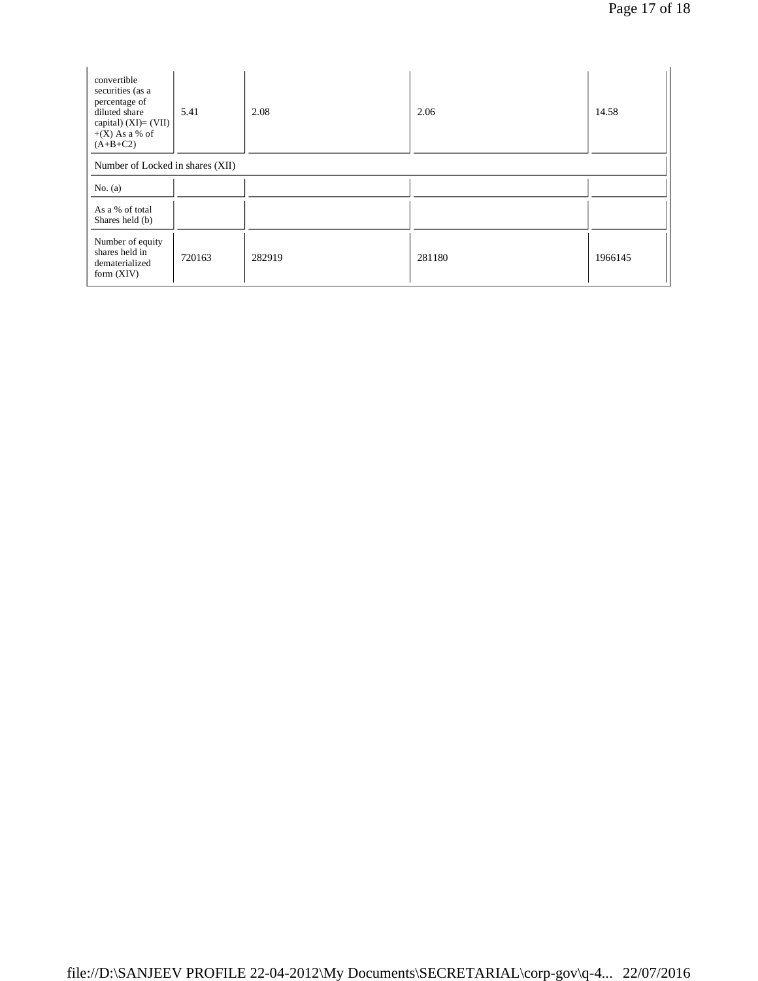| convertible<br>securities (as a<br>percentage of<br>diluted share<br>capital) $(XI) = (VII)$<br>$+(X)$ As a % of<br>$(A+B+C2)$ | 5.41   | 2.08   | 2.06   | 14.58   |  |  |
|--------------------------------------------------------------------------------------------------------------------------------|--------|--------|--------|---------|--|--|
| Number of Locked in shares (XII)<br>No. $(a)$                                                                                  |        |        |        |         |  |  |
| As a % of total<br>Shares held (b)                                                                                             |        |        |        |         |  |  |
| Number of equity<br>shares held in<br>dematerialized<br>form $(XIV)$                                                           | 720163 | 282919 | 281180 | 1966145 |  |  |